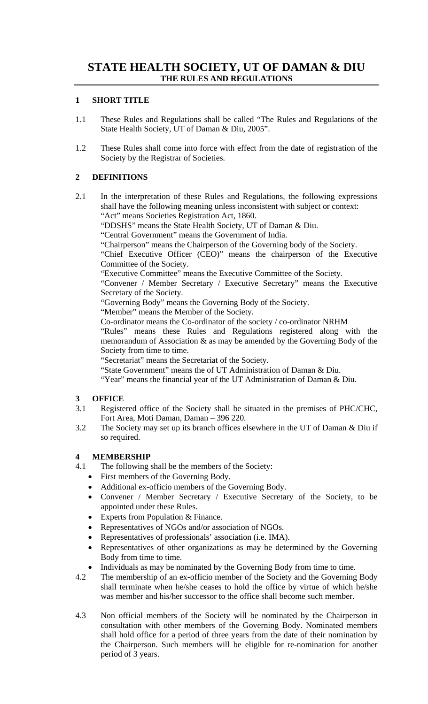#### **1 SHORT TITLE**

- 1.1 These Rules and Regulations shall be called "The Rules and Regulations of the State Health Society, UT of Daman & Diu, 2005".
- 1.2 These Rules shall come into force with effect from the date of registration of the Society by the Registrar of Societies.

# **2 DEFINITIONS**

2.1 In the interpretation of these Rules and Regulations, the following expressions shall have the following meaning unless inconsistent with subject or context: "Act" means Societies Registration Act, 1860.

"DDSHS" means the State Health Society, UT of Daman & Diu.

"Central Government" means the Government of India.

"Chairperson" means the Chairperson of the Governing body of the Society.

"Chief Executive Officer (CEO)" means the chairperson of the Executive Committee of the Society.

"Executive Committee" means the Executive Committee of the Society.

"Convener / Member Secretary / Executive Secretary" means the Executive Secretary of the Society.

"Governing Body" means the Governing Body of the Society.

"Member" means the Member of the Society.

Co-ordinator means the Co-ordinator of the society / co-ordinator NRHM

"Rules" means these Rules and Regulations registered along with the memorandum of Association & as may be amended by the Governing Body of the Society from time to time.

"Secretariat" means the Secretariat of the Society.

- "State Government" means the of UT Administration of Daman & Diu.
- "Year" means the financial year of the UT Administration of Daman & Diu.

# **3 OFFICE**

- 3.1 Registered office of the Society shall be situated in the premises of PHC/CHC, Fort Area, Moti Daman, Daman – 396 220.
- 3.2 The Society may set up its branch offices elsewhere in the UT of Daman & Diu if so required.

# **4 MEMBERSHIP**

- 4.1 The following shall be the members of the Society:
	- First members of the Governing Body.
	- Additional ex-officio members of the Governing Body.
	- Convener / Member Secretary / Executive Secretary of the Society, to be appointed under these Rules.
	- Experts from Population & Finance.
	- Representatives of NGOs and/or association of NGOs.
	- Representatives of professionals' association (i.e. IMA).
	- Representatives of other organizations as may be determined by the Governing Body from time to time.
	- Individuals as may be nominated by the Governing Body from time to time.
- 4.2 The membership of an ex-officio member of the Society and the Governing Body shall terminate when he/she ceases to hold the office by virtue of which he/she was member and his/her successor to the office shall become such member.
- 4.3 Non official members of the Society will be nominated by the Chairperson in consultation with other members of the Governing Body. Nominated members shall hold office for a period of three years from the date of their nomination by the Chairperson. Such members will be eligible for re-nomination for another period of 3 years.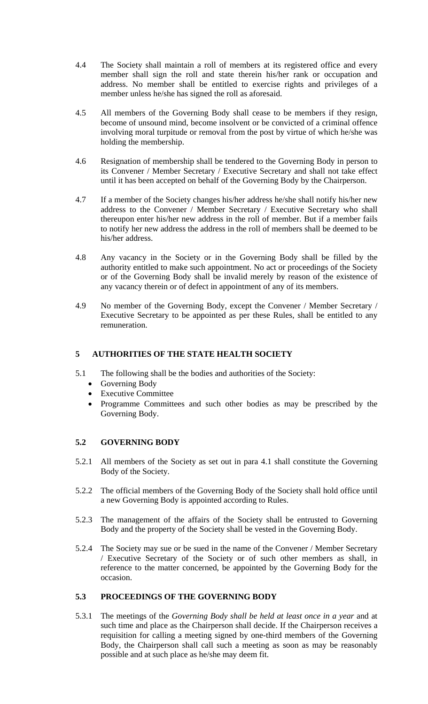- 4.4 The Society shall maintain a roll of members at its registered office and every member shall sign the roll and state therein his/her rank or occupation and address. No member shall be entitled to exercise rights and privileges of a member unless he/she has signed the roll as aforesaid.
- 4.5 All members of the Governing Body shall cease to be members if they resign, become of unsound mind, become insolvent or be convicted of a criminal offence involving moral turpitude or removal from the post by virtue of which he/she was holding the membership.
- 4.6 Resignation of membership shall be tendered to the Governing Body in person to its Convener / Member Secretary / Executive Secretary and shall not take effect until it has been accepted on behalf of the Governing Body by the Chairperson.
- 4.7 If a member of the Society changes his/her address he/she shall notify his/her new address to the Convener / Member Secretary / Executive Secretary who shall thereupon enter his/her new address in the roll of member. But if a member fails to notify her new address the address in the roll of members shall be deemed to be his/her address.
- 4.8 Any vacancy in the Society or in the Governing Body shall be filled by the authority entitled to make such appointment. No act or proceedings of the Society or of the Governing Body shall be invalid merely by reason of the existence of any vacancy therein or of defect in appointment of any of its members.
- 4.9 No member of the Governing Body, except the Convener / Member Secretary / Executive Secretary to be appointed as per these Rules, shall be entitled to any remuneration.

## **5 AUTHORITIES OF THE STATE HEALTH SOCIETY**

- 5.1 The following shall be the bodies and authorities of the Society:
	- Governing Body
	- Executive Committee
	- Programme Committees and such other bodies as may be prescribed by the Governing Body.

#### **5.2 GOVERNING BODY**

- 5.2.1 All members of the Society as set out in para 4.1 shall constitute the Governing Body of the Society.
- 5.2.2 The official members of the Governing Body of the Society shall hold office until a new Governing Body is appointed according to Rules.
- 5.2.3 The management of the affairs of the Society shall be entrusted to Governing Body and the property of the Society shall be vested in the Governing Body.
- 5.2.4 The Society may sue or be sued in the name of the Convener / Member Secretary / Executive Secretary of the Society or of such other members as shall, in reference to the matter concerned, be appointed by the Governing Body for the occasion.

#### **5.3 PROCEEDINGS OF THE GOVERNING BODY**

5.3.1 The meetings of the *Governing Body shall be held at least once in a year* and at such time and place as the Chairperson shall decide. If the Chairperson receives a requisition for calling a meeting signed by one-third members of the Governing Body, the Chairperson shall call such a meeting as soon as may be reasonably possible and at such place as he/she may deem fit.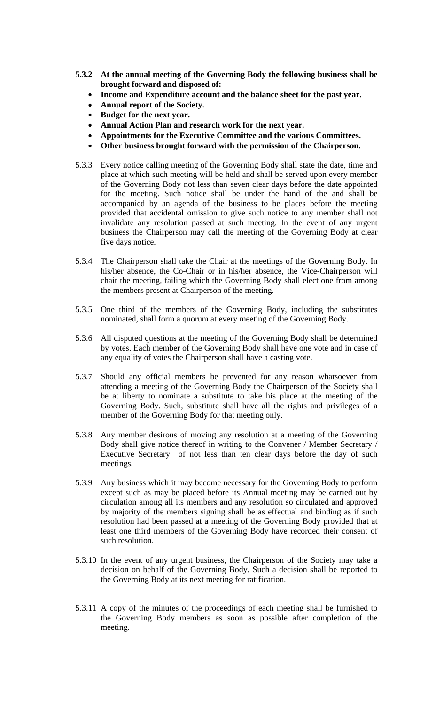- **5.3.2 At the annual meeting of the Governing Body the following business shall be brought forward and disposed of:** 
	- **Income and Expenditure account and the balance sheet for the past year.**
	- **Annual report of the Society.**
	- **Budget for the next year.**
	- **Annual Action Plan and research work for the next year.**
	- **Appointments for the Executive Committee and the various Committees.**
	- **Other business brought forward with the permission of the Chairperson.**
- 5.3.3 Every notice calling meeting of the Governing Body shall state the date, time and place at which such meeting will be held and shall be served upon every member of the Governing Body not less than seven clear days before the date appointed for the meeting. Such notice shall be under the hand of the and shall be accompanied by an agenda of the business to be places before the meeting provided that accidental omission to give such notice to any member shall not invalidate any resolution passed at such meeting. In the event of any urgent business the Chairperson may call the meeting of the Governing Body at clear five days notice.
- 5.3.4 The Chairperson shall take the Chair at the meetings of the Governing Body. In his/her absence, the Co-Chair or in his/her absence, the Vice-Chairperson will chair the meeting, failing which the Governing Body shall elect one from among the members present at Chairperson of the meeting.
- 5.3.5 One third of the members of the Governing Body, including the substitutes nominated, shall form a quorum at every meeting of the Governing Body.
- 5.3.6 All disputed questions at the meeting of the Governing Body shall be determined by votes. Each member of the Governing Body shall have one vote and in case of any equality of votes the Chairperson shall have a casting vote.
- 5.3.7 Should any official members be prevented for any reason whatsoever from attending a meeting of the Governing Body the Chairperson of the Society shall be at liberty to nominate a substitute to take his place at the meeting of the Governing Body. Such, substitute shall have all the rights and privileges of a member of the Governing Body for that meeting only.
- 5.3.8 Any member desirous of moving any resolution at a meeting of the Governing Body shall give notice thereof in writing to the Convener / Member Secretary / Executive Secretary of not less than ten clear days before the day of such meetings.
- 5.3.9 Any business which it may become necessary for the Governing Body to perform except such as may be placed before its Annual meeting may be carried out by circulation among all its members and any resolution so circulated and approved by majority of the members signing shall be as effectual and binding as if such resolution had been passed at a meeting of the Governing Body provided that at least one third members of the Governing Body have recorded their consent of such resolution.
- 5.3.10 In the event of any urgent business, the Chairperson of the Society may take a decision on behalf of the Governing Body. Such a decision shall be reported to the Governing Body at its next meeting for ratification.
- 5.3.11 A copy of the minutes of the proceedings of each meeting shall be furnished to the Governing Body members as soon as possible after completion of the meeting.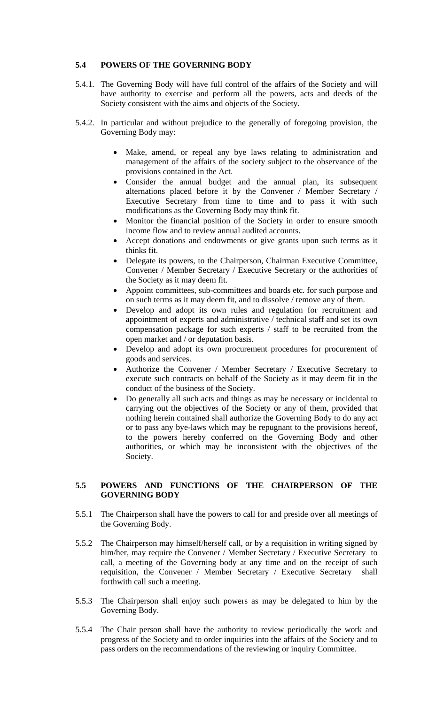### **5.4 POWERS OF THE GOVERNING BODY**

- 5.4.1. The Governing Body will have full control of the affairs of the Society and will have authority to exercise and perform all the powers, acts and deeds of the Society consistent with the aims and objects of the Society.
- 5.4.2. In particular and without prejudice to the generally of foregoing provision, the Governing Body may:
	- Make, amend, or repeal any bye laws relating to administration and management of the affairs of the society subject to the observance of the provisions contained in the Act.
	- Consider the annual budget and the annual plan, its subsequent alternations placed before it by the Convener / Member Secretary / Executive Secretary from time to time and to pass it with such modifications as the Governing Body may think fit.
	- Monitor the financial position of the Society in order to ensure smooth income flow and to review annual audited accounts.
	- Accept donations and endowments or give grants upon such terms as it thinks fit.
	- Delegate its powers, to the Chairperson, Chairman Executive Committee, Convener / Member Secretary / Executive Secretary or the authorities of the Society as it may deem fit.
	- Appoint committees, sub-committees and boards etc. for such purpose and on such terms as it may deem fit, and to dissolve / remove any of them.
	- Develop and adopt its own rules and regulation for recruitment and appointment of experts and administrative / technical staff and set its own compensation package for such experts / staff to be recruited from the open market and / or deputation basis.
	- Develop and adopt its own procurement procedures for procurement of goods and services.
	- Authorize the Convener / Member Secretary / Executive Secretary to execute such contracts on behalf of the Society as it may deem fit in the conduct of the business of the Society.
	- Do generally all such acts and things as may be necessary or incidental to carrying out the objectives of the Society or any of them, provided that nothing herein contained shall authorize the Governing Body to do any act or to pass any bye-laws which may be repugnant to the provisions hereof, to the powers hereby conferred on the Governing Body and other authorities, or which may be inconsistent with the objectives of the Society.

#### **5.5 POWERS AND FUNCTIONS OF THE CHAIRPERSON OF THE GOVERNING BODY**

- 5.5.1 The Chairperson shall have the powers to call for and preside over all meetings of the Governing Body.
- 5.5.2 The Chairperson may himself/herself call, or by a requisition in writing signed by him/her, may require the Convener / Member Secretary / Executive Secretary to call, a meeting of the Governing body at any time and on the receipt of such requisition, the Convener / Member Secretary / Executive Secretary shall forthwith call such a meeting.
- 5.5.3 The Chairperson shall enjoy such powers as may be delegated to him by the Governing Body.
- 5.5.4 The Chair person shall have the authority to review periodically the work and progress of the Society and to order inquiries into the affairs of the Society and to pass orders on the recommendations of the reviewing or inquiry Committee.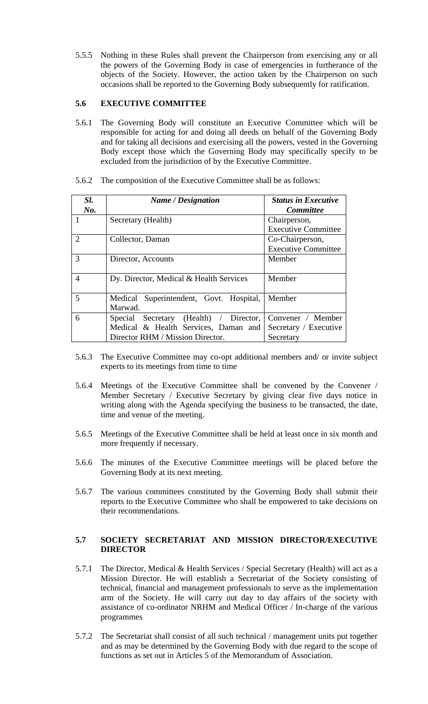5.5.5 Nothing in these Rules shall prevent the Chairperson from exercising any or all the powers of the Governing Body in case of emergencies in furtherance of the objects of the Society. However, the action taken by the Chairperson on such occasions shall be reported to the Governing Body subsequently for ratification.

#### **5.6 EXECUTIVE COMMITTEE**

5.6.1 The Governing Body will constitute an Executive Committee which will be responsible for acting for and doing all deeds on behalf of the Governing Body and for taking all decisions and exercising all the powers, vested in the Governing Body except those which the Governing Body may specifically specify to be excluded from the jurisdiction of by the Executive Committee.

|  |  |  | 5.6.2 The composition of the Executive Committee shall be as follows: |  |
|--|--|--|-----------------------------------------------------------------------|--|
|  |  |  |                                                                       |  |

| Sl.<br>No.     | Name / Designation                        | <b>Status in Executive</b><br><i>Committee</i> |  |
|----------------|-------------------------------------------|------------------------------------------------|--|
|                | Secretary (Health)                        | Chairperson,                                   |  |
|                |                                           | <b>Executive Committee</b>                     |  |
| $\overline{2}$ | Collector, Daman                          | Co-Chairperson,                                |  |
|                |                                           | <b>Executive Committee</b>                     |  |
| 3              | Director, Accounts                        | Member                                         |  |
|                |                                           |                                                |  |
| $\overline{4}$ | Dy. Director, Medical & Health Services   | Member                                         |  |
|                |                                           |                                                |  |
| 5              | Medical Superintendent, Govt. Hospital,   | Member                                         |  |
|                | Marwad.                                   |                                                |  |
| 6              | Secretary (Health) / Director,<br>Special | Convener / Member                              |  |
|                | Medical & Health Services, Daman and      | Secretary / Executive                          |  |
|                | Director RHM / Mission Director.          | Secretary                                      |  |

- 5.6.3 The Executive Committee may co-opt additional members and/ or invite subject experts to its meetings from time to time
- 5.6.4 Meetings of the Executive Committee shall be convened by the Convener / Member Secretary / Executive Secretary by giving clear five days notice in writing along with the Agenda specifying the business to be transacted, the date, time and venue of the meeting.
- 5.6.5 Meetings of the Executive Committee shall be held at least once in six month and more frequently if necessary.
- 5.6.6 The minutes of the Executive Committee meetings will be placed before the Governing Body at its next meeting.
- 5.6.7 The various committees constituted by the Governing Body shall submit their reports to the Executive Committee who shall be empowered to take decisions on their recommendations.

#### **5.7 SOCIETY SECRETARIAT AND MISSION DIRECTOR/EXECUTIVE DIRECTOR**

- 5.7.1 The Director, Medical & Health Services / Special Secretary (Health) will act as a Mission Director. He will establish a Secretariat of the Society consisting of technical, financial and management professionals to serve as the implementation arm of the Society. He will carry out day to day affairs of the society with assistance of co-ordinator NRHM and Medical Officer / In-charge of the various programmes
- 5.7.2 The Secretariat shall consist of all such technical / management units put together and as may be determined by the Governing Body with due regard to the scope of functions as set out in Articles 5 of the Memorandum of Association.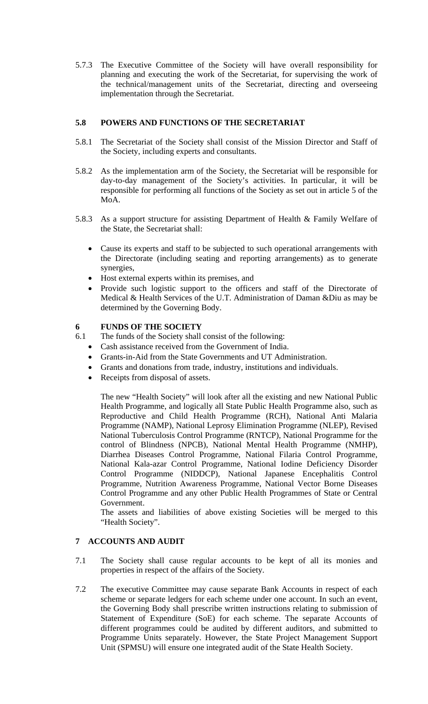5.7.3 The Executive Committee of the Society will have overall responsibility for planning and executing the work of the Secretariat, for supervising the work of the technical/management units of the Secretariat, directing and overseeing implementation through the Secretariat.

#### **5.8 POWERS AND FUNCTIONS OF THE SECRETARIAT**

- 5.8.1 The Secretariat of the Society shall consist of the Mission Director and Staff of the Society, including experts and consultants.
- 5.8.2 As the implementation arm of the Society, the Secretariat will be responsible for day-to-day management of the Society's activities. In particular, it will be responsible for performing all functions of the Society as set out in article 5 of the MoA.
- 5.8.3 As a support structure for assisting Department of Health & Family Welfare of the State, the Secretariat shall:
	- Cause its experts and staff to be subjected to such operational arrangements with the Directorate (including seating and reporting arrangements) as to generate synergies,
	- Host external experts within its premises, and
	- Provide such logistic support to the officers and staff of the Directorate of Medical & Health Services of the U.T. Administration of Daman &Diu as may be determined by the Governing Body.

### **6 FUNDS OF THE SOCIETY**

- 6.1 The funds of the Society shall consist of the following:
	- Cash assistance received from the Government of India.
	- Grants-in-Aid from the State Governments and UT Administration.
	- Grants and donations from trade, industry, institutions and individuals.
	- Receipts from disposal of assets.

The new "Health Society" will look after all the existing and new National Public Health Programme, and logically all State Public Health Programme also, such as Reproductive and Child Health Programme (RCH), National Anti Malaria Programme (NAMP), National Leprosy Elimination Programme (NLEP), Revised National Tuberculosis Control Programme (RNTCP), National Programme for the control of Blindness (NPCB), National Mental Health Programme (NMHP), Diarrhea Diseases Control Programme, National Filaria Control Programme, National Kala-azar Control Programme, National Iodine Deficiency Disorder Control Programme (NIDDCP), National Japanese Encephalitis Control Programme, Nutrition Awareness Programme, National Vector Borne Diseases Control Programme and any other Public Health Programmes of State or Central Government.

The assets and liabilities of above existing Societies will be merged to this "Health Society".

# **7 ACCOUNTS AND AUDIT**

- 7.1 The Society shall cause regular accounts to be kept of all its monies and properties in respect of the affairs of the Society.
- 7.2 The executive Committee may cause separate Bank Accounts in respect of each scheme or separate ledgers for each scheme under one account. In such an event, the Governing Body shall prescribe written instructions relating to submission of Statement of Expenditure (SoE) for each scheme. The separate Accounts of different programmes could be audited by different auditors, and submitted to Programme Units separately. However, the State Project Management Support Unit (SPMSU) will ensure one integrated audit of the State Health Society.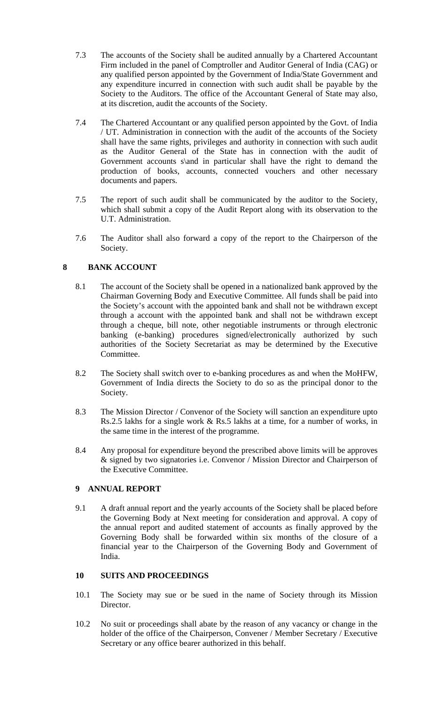- 7.3 The accounts of the Society shall be audited annually by a Chartered Accountant Firm included in the panel of Comptroller and Auditor General of India (CAG) or any qualified person appointed by the Government of India/State Government and any expenditure incurred in connection with such audit shall be payable by the Society to the Auditors. The office of the Accountant General of State may also, at its discretion, audit the accounts of the Society.
- 7.4 The Chartered Accountant or any qualified person appointed by the Govt. of India / UT. Administration in connection with the audit of the accounts of the Society shall have the same rights, privileges and authority in connection with such audit as the Auditor General of the State has in connection with the audit of Government accounts s\and in particular shall have the right to demand the production of books, accounts, connected vouchers and other necessary documents and papers.
- 7.5 The report of such audit shall be communicated by the auditor to the Society, which shall submit a copy of the Audit Report along with its observation to the U.T. Administration.
- 7.6 The Auditor shall also forward a copy of the report to the Chairperson of the Society.

### **8 BANK ACCOUNT**

- 8.1 The account of the Society shall be opened in a nationalized bank approved by the Chairman Governing Body and Executive Committee. All funds shall be paid into the Society's account with the appointed bank and shall not be withdrawn except through a account with the appointed bank and shall not be withdrawn except through a cheque, bill note, other negotiable instruments or through electronic banking (e-banking) procedures signed/electronically authorized by such authorities of the Society Secretariat as may be determined by the Executive Committee.
- 8.2 The Society shall switch over to e-banking procedures as and when the MoHFW, Government of India directs the Society to do so as the principal donor to the Society.
- 8.3 The Mission Director / Convenor of the Society will sanction an expenditure upto Rs.2.5 lakhs for a single work & Rs.5 lakhs at a time, for a number of works, in the same time in the interest of the programme.
- 8.4 Any proposal for expenditure beyond the prescribed above limits will be approves & signed by two signatories i.e. Convenor / Mission Director and Chairperson of the Executive Committee.

### **9 ANNUAL REPORT**

9.1 A draft annual report and the yearly accounts of the Society shall be placed before the Governing Body at Next meeting for consideration and approval. A copy of the annual report and audited statement of accounts as finally approved by the Governing Body shall be forwarded within six months of the closure of a financial year to the Chairperson of the Governing Body and Government of India.

## **10 SUITS AND PROCEEDINGS**

- 10.1 The Society may sue or be sued in the name of Society through its Mission Director.
- 10.2 No suit or proceedings shall abate by the reason of any vacancy or change in the holder of the office of the Chairperson, Convener / Member Secretary / Executive Secretary or any office bearer authorized in this behalf.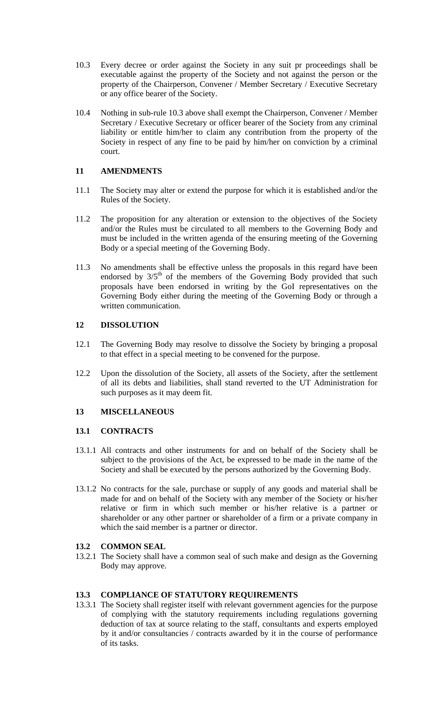- 10.3 Every decree or order against the Society in any suit pr proceedings shall be executable against the property of the Society and not against the person or the property of the Chairperson, Convener / Member Secretary / Executive Secretary or any office bearer of the Society.
- 10.4 Nothing in sub-rule 10.3 above shall exempt the Chairperson, Convener / Member Secretary / Executive Secretary or officer bearer of the Society from any criminal liability or entitle him/her to claim any contribution from the property of the Society in respect of any fine to be paid by him/her on conviction by a criminal court.

# **11 AMENDMENTS**

- 11.1 The Society may alter or extend the purpose for which it is established and/or the Rules of the Society.
- 11.2 The proposition for any alteration or extension to the objectives of the Society and/or the Rules must be circulated to all members to the Governing Body and must be included in the written agenda of the ensuring meeting of the Governing Body or a special meeting of the Governing Body.
- 11.3 No amendments shall be effective unless the proposals in this regard have been endorsed by  $3/5$ <sup>th</sup> of the members of the Governing Body provided that such proposals have been endorsed in writing by the GoI representatives on the Governing Body either during the meeting of the Governing Body or through a written communication.

# **12 DISSOLUTION**

- 12.1 The Governing Body may resolve to dissolve the Society by bringing a proposal to that effect in a special meeting to be convened for the purpose.
- 12.2 Upon the dissolution of the Society, all assets of the Society, after the settlement of all its debts and liabilities, shall stand reverted to the UT Administration for such purposes as it may deem fit.

# **13 MISCELLANEOUS**

# **13.1 CONTRACTS**

- 13.1.1 All contracts and other instruments for and on behalf of the Society shall be subject to the provisions of the Act, be expressed to be made in the name of the Society and shall be executed by the persons authorized by the Governing Body.
- 13.1.2 No contracts for the sale, purchase or supply of any goods and material shall be made for and on behalf of the Society with any member of the Society or his/her relative or firm in which such member or his/her relative is a partner or shareholder or any other partner or shareholder of a firm or a private company in which the said member is a partner or director.

# **13.2 COMMON SEAL**

13.2.1 The Society shall have a common seal of such make and design as the Governing Body may approve.

#### **13.3 COMPLIANCE OF STATUTORY REQUIREMENTS**

13.3.1 The Society shall register itself with relevant government agencies for the purpose of complying with the statutory requirements including regulations governing deduction of tax at source relating to the staff, consultants and experts employed by it and/or consultancies / contracts awarded by it in the course of performance of its tasks.